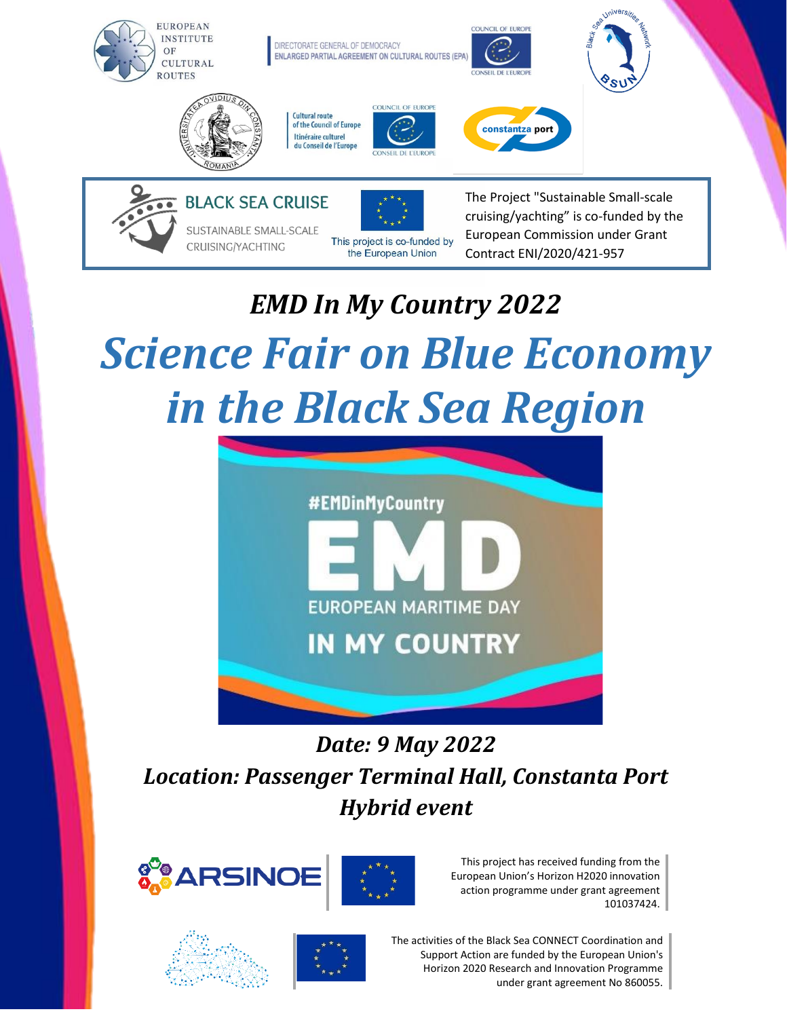

# *EMD In My Country 2022 Science Fair on Blue Economy in the Black Sea Region*

This project is co-funded by

the European Union

CRUISING/YACHTING



# *Date: 9 May 2022 Location: Passenger Terminal Hall, Constanta Port Hybrid event*





This project has received funding from the European Union's Horizon H2020 innovation action programme under grant agreement 101037424.

European Commission under Grant

Contract ENI/2020/421-957

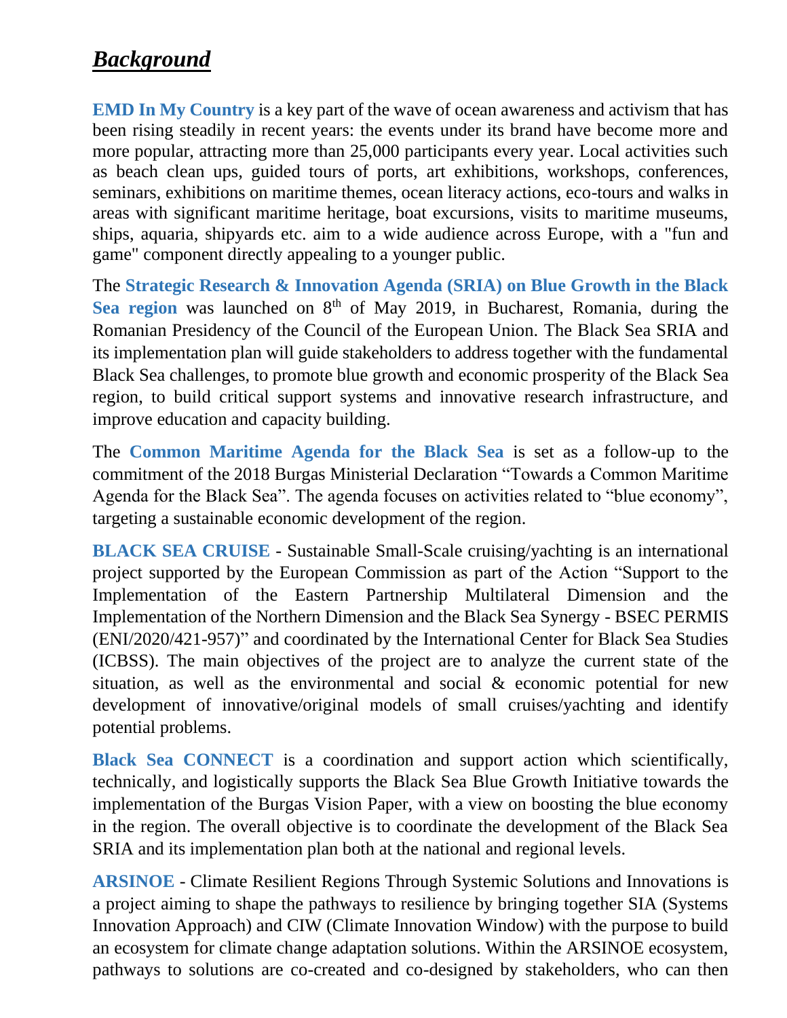## *Background*

**EMD In My Country** is a key part of the wave of ocean awareness and activism that has been rising steadily in recent years: the events under its brand have become more and more popular, attracting more than 25,000 participants every year. Local activities such as beach clean ups, guided tours of ports, art exhibitions, workshops, conferences, seminars, exhibitions on maritime themes, ocean literacy actions, eco-tours and walks in areas with significant maritime heritage, boat excursions, visits to maritime museums, ships, aquaria, shipyards etc. aim to a wide audience across Europe, with a "fun and game" component directly appealing to a younger public.

The **Strategic Research & Innovation Agenda (SRIA) on Blue Growth in the Black**  Sea region was launched on 8<sup>th</sup> of May 2019, in Bucharest, Romania, during the Romanian Presidency of the Council of the European Union. The Black Sea SRIA and its implementation plan will guide stakeholders to address together with the fundamental Black Sea challenges, to promote blue growth and economic prosperity of the Black Sea region, to build critical support systems and innovative research infrastructure, and improve education and capacity building.

The **Common Maritime Agenda for the Black Sea** is set as a follow-up to the commitment of the 2018 Burgas Ministerial Declaration "Towards a Common Maritime Agenda for the Black Sea". The agenda focuses on activities related to "blue economy", targeting a sustainable economic development of the region.

**BLACK SEA CRUISE** - Sustainable Small-Scale cruising/yachting is an international project supported by the European Commission as part of the Action "Support to the Implementation of the Eastern Partnership Multilateral Dimension and the Implementation of the Northern Dimension and the Black Sea Synergy - BSEC PERMIS (ENI/2020/421-957)" and coordinated by the International Center for Black Sea Studies (ICBSS). The main objectives of the project are to analyze the current state of the situation, as well as the environmental and social & economic potential for new development of innovative/original models of small cruises/yachting and identify potential problems.

**Black Sea CONNECT** is a coordination and support action which scientifically, technically, and logistically supports the Black Sea Blue Growth Initiative towards the implementation of the Burgas Vision Paper, with a view on boosting the blue economy in the region. The overall objective is to coordinate the development of the Black Sea SRIA and its implementation plan both at the national and regional levels.

**ARSINOE** - Climate Resilient Regions Through Systemic Solutions and Innovations is a project aiming to shape the pathways to resilience by bringing together SIA (Systems Innovation Approach) and CIW (Climate Innovation Window) with the purpose to build an ecosystem for climate change adaptation solutions. Within the ARSINOE ecosystem, pathways to solutions are co-created and co-designed by stakeholders, who can then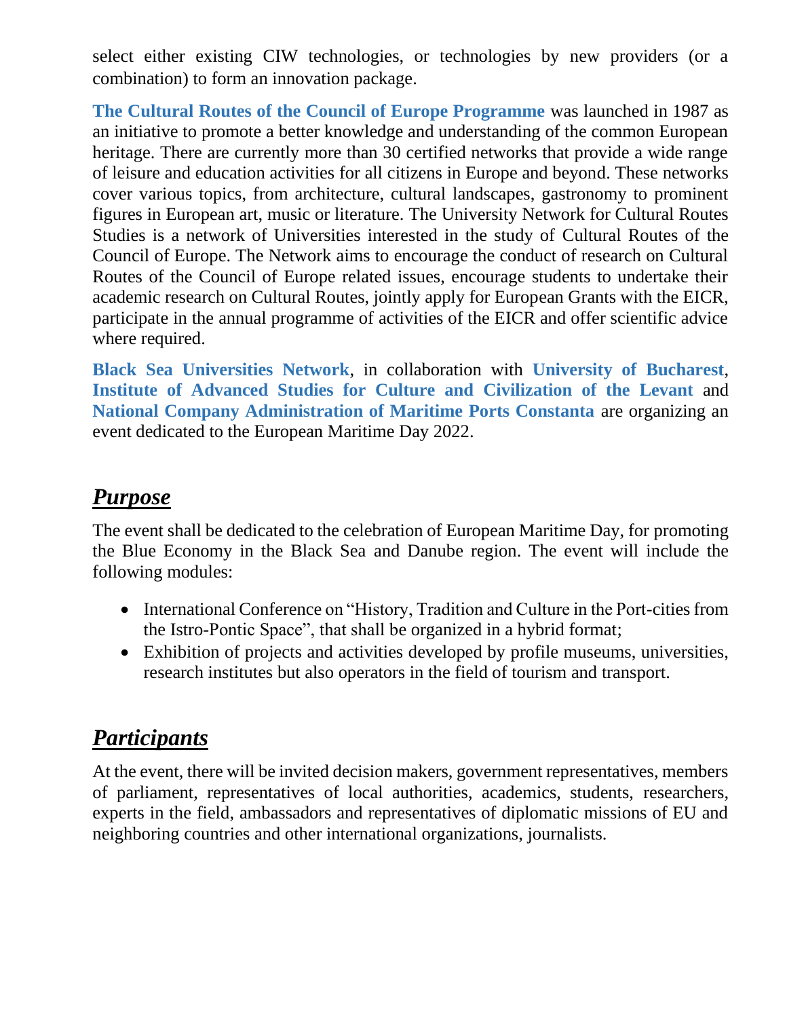select either existing CIW technologies, or technologies by new providers (or a combination) to form an innovation package.

**The Cultural Routes of the Council of Europe Programme** was launched in 1987 as an initiative to promote a better knowledge and understanding of the common European heritage. There are currently more than 30 certified networks that provide a wide range of leisure and education activities for all citizens in Europe and beyond. These networks cover various topics, from architecture, cultural landscapes, gastronomy to prominent figures in European art, music or literature. The University Network for Cultural Routes Studies is a network of Universities interested in the study of Cultural Routes of the Council of Europe. The Network aims to encourage the conduct of research on Cultural Routes of the Council of Europe related issues, encourage students to undertake their academic research on Cultural Routes, jointly apply for European Grants with the EICR, participate in the annual programme of activities of the EICR and offer scientific advice where required.

**Black Sea Universities Network**, in collaboration with **University of Bucharest**, **Institute of Advanced Studies for Culture and Civilization of the Levant** and **National Company Administration of Maritime Ports Constanta** are organizing an event dedicated to the European Maritime Day 2022.

#### *Purpose*

The event shall be dedicated to the celebration of European Maritime Day, for promoting the Blue Economy in the Black Sea and Danube region. The event will include the following modules:

- International Conference on "History, Tradition and Culture in the Port-cities from the Istro-Pontic Space", that shall be organized in a hybrid format;
- Exhibition of projects and activities developed by profile museums, universities, research institutes but also operators in the field of tourism and transport.

## *Participants*

At the event, there will be invited decision makers, government representatives, members of parliament, representatives of local authorities, academics, students, researchers, experts in the field, ambassadors and representatives of diplomatic missions of EU and neighboring countries and other international organizations, journalists.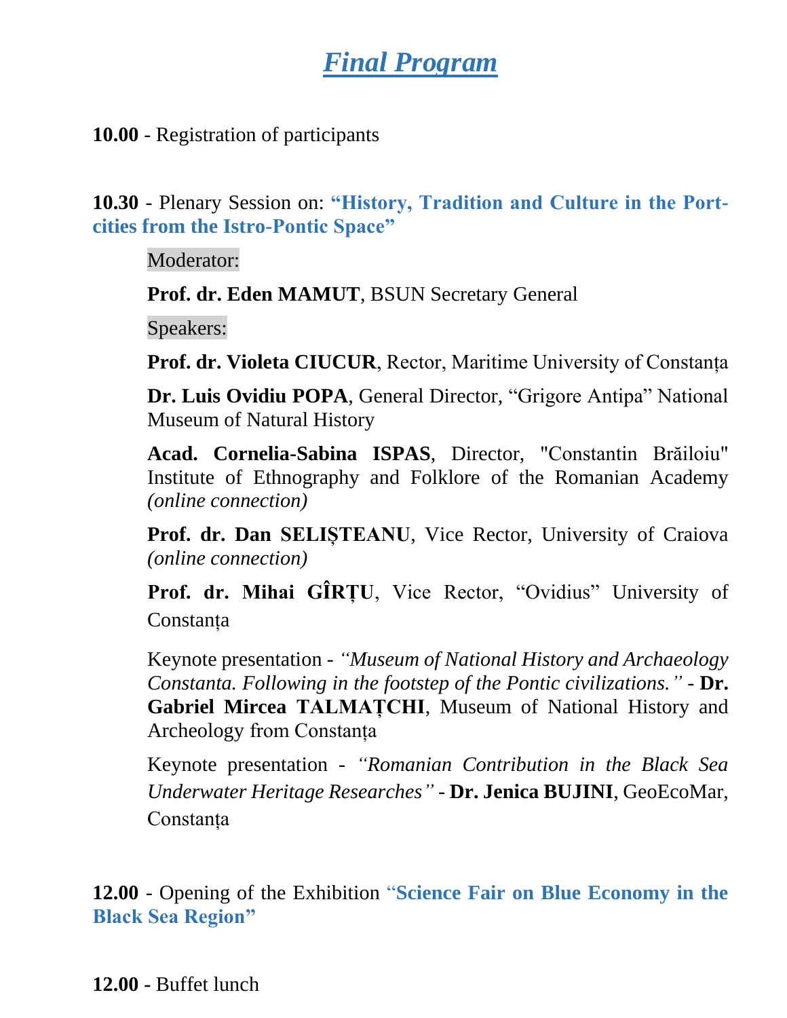# *Final Program*

**10.00** - Registration of participants

**10.30** - Plenary Session on: **"History, Tradition and Culture in the Portcities from the Istro-Pontic Space"**

Moderator:

**Prof. dr. Eden MAMUT**, BSUN Secretary General

Speakers:

**Prof. dr. Violeta CIUCUR**, Rector, Maritime University of Constanța

**Dr. Luis Ovidiu POPA**, General Director, "Grigore Antipa" National Museum of Natural History

**Acad. Cornelia-Sabina ISPAS**, Director, "Constantin Brăiloiu" Institute of Ethnography and Folklore of the Romanian Academy *(online connection)*

**Prof. dr. Dan SELIȘTEANU**, Vice Rector, University of Craiova *(online connection)*

**Prof. dr. Mihai GÎRȚU**, Vice Rector, "Ovidius" University of Constanța

Keynote presentation - *"Museum of National History and Archaeology Constanta. Following in the footstep of the Pontic civilizations."* - **Dr. Gabriel Mircea TALMAȚCHI**, Museum of National History and Archeology from Constanța

Keynote presentation - *"Romanian Contribution in the Black Sea Underwater Heritage Researches" -* **Dr. Jenica BUJINI**, GeoEcoMar, Constanța

**12.00** - Opening of the Exhibition "**Science Fair on Blue Economy in the Black Sea Region"**

**12.00 -** Buffet lunch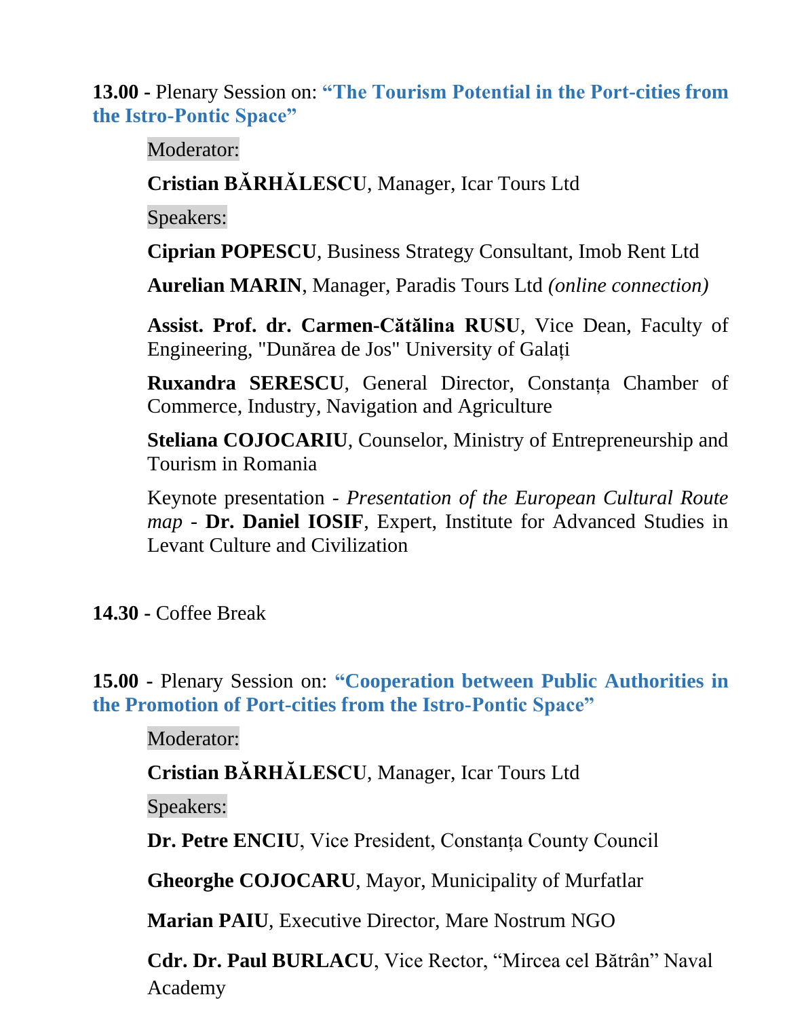**13.00 -** Plenary Session on: **"The Tourism Potential in the Port-cities from the Istro-Pontic Space"**

Moderator:

**Cristian BĂRHĂLESCU**, Manager, Icar Tours Ltd

Speakers:

**Ciprian POPESCU**, Business Strategy Consultant, Imob Rent Ltd

**Aurelian MARIN**, Manager, Paradis Tours Ltd *(online connection)*

**Assist. Prof. dr. Carmen-Cătălina RUSU**, Vice Dean, Faculty of Engineering, "Dunărea de Jos" University of Galați

**Ruxandra SERESCU**, General Director, Constanța Chamber of Commerce, Industry, Navigation and Agriculture

**Steliana COJOCARIU**, Counselor, Ministry of Entrepreneurship and Tourism in Romania

Keynote presentation - *Presentation of the European Cultural Route map -* **Dr. Daniel IOSIF**, Expert, Institute for Advanced Studies in Levant Culture and Civilization

**14.30 -** Coffee Break

**15.00 -** Plenary Session on: **"Cooperation between Public Authorities in the Promotion of Port-cities from the Istro-Pontic Space"**

Moderator:

**Cristian BĂRHĂLESCU**, Manager, Icar Tours Ltd

Speakers:

**Dr. Petre ENCIU**, Vice President, Constanța County Council

**Gheorghe COJOCARU**, Mayor, Municipality of Murfatlar

**Marian PAIU**, Executive Director, Mare Nostrum NGO

**Cdr. Dr. Paul BURLACU**, Vice Rector, "Mircea cel Bătrân" Naval Academy